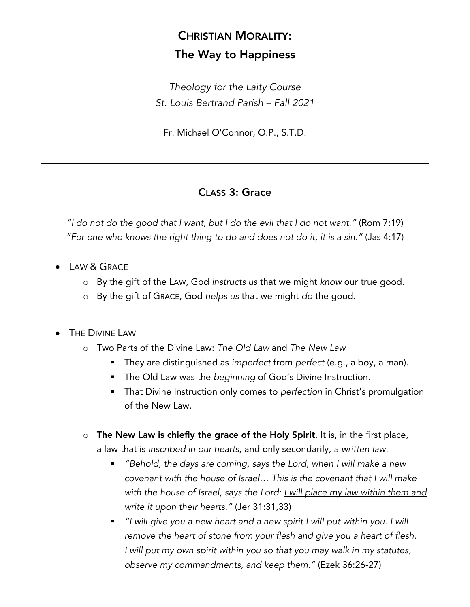## CHRISTIAN MORALITY: The Way to Happiness

*Theology for the Laity Course St. Louis Bertrand Parish – Fall 2021*

Fr. Michael O'Connor, O.P., S.T.D.

## CLASS 3: Grace

*"I do not do the good that I want, but I do the evil that I do not want."* (Rom 7:19) *"For one who knows the right thing to do and does not do it, it is a sin."* (Jas 4:17)

- LAW & GRACE
	- o By the gift of the LAW, God *instructs us* that we might *know* our true good.
	- o By the gift of GRACE, God *helps us* that we might *do* the good.
- **THE DIVINE LAW** 
	- o Two Parts of the Divine Law: *The Old Law* and *The New Law*
		- § They are distinguished as *imperfect* from *perfect* (e.g., a boy, a man).
		- **The Old Law was the** *beginning* of God's Divine Instruction.
		- That Divine Instruction only comes to *perfection* in Christ's promulgation of the New Law.
	- $\circ$  The New Law is chiefly the grace of the Holy Spirit. It is, in the first place, a law that is *inscribed in our hearts*, and only secondarily, *a written law.*
		- § *"Behold, the days are coming, says the Lord, when I will make a new covenant with the house of Israel… This is the covenant that I will make with the house of Israel, says the Lord: I will place my law within them and write it upon their hearts."* (Jer 31:31,33)
		- *"I will give you a new heart and a new spirit I will put within you. I will remove the heart of stone from your flesh and give you a heart of flesh. I will put my own spirit within you so that you may walk in my statutes, observe my commandments, and keep them."* (Ezek 36:26-27)